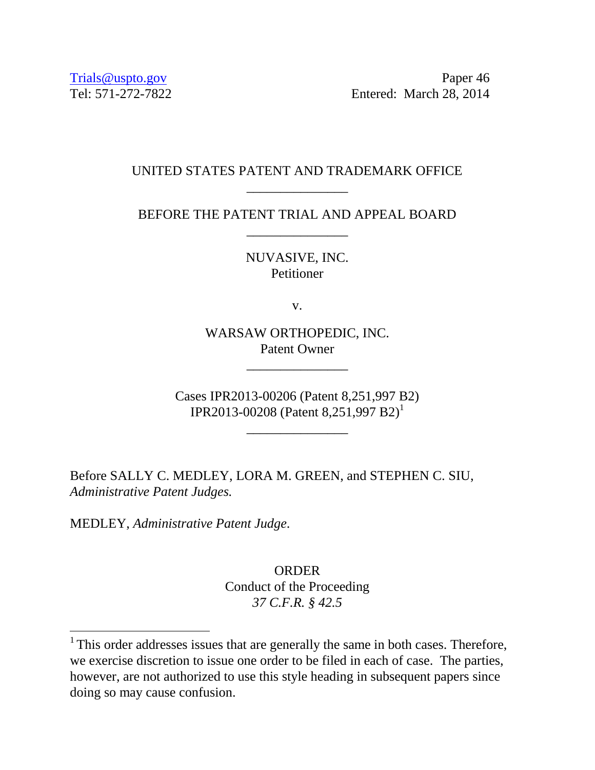Trials@uspto.gov Paper 46 Tel: 571-272-7822 Entered: March 28, 2014

## UNITED STATES PATENT AND TRADEMARK OFFICE \_\_\_\_\_\_\_\_\_\_\_\_\_\_\_

BEFORE THE PATENT TRIAL AND APPEAL BOARD \_\_\_\_\_\_\_\_\_\_\_\_\_\_\_

> NUVASIVE, INC. **Petitioner**

> > v.

WARSAW ORTHOPEDIC, INC. Patent Owner

\_\_\_\_\_\_\_\_\_\_\_\_\_\_\_

Cases IPR2013-00206 (Patent 8,251,997 B2) IPR2013-00208 (Patent 8,251,997 B2) 1

\_\_\_\_\_\_\_\_\_\_\_\_\_\_\_

Before SALLY C. MEDLEY, LORA M. GREEN, and STEPHEN C. SIU, *Administrative Patent Judges.* 

MEDLEY, *Administrative Patent Judge*.

 $\overline{a}$ 

ORDER Conduct of the Proceeding *37 C.F.R. § 42.5*

<sup>&</sup>lt;sup>1</sup> This order addresses issues that are generally the same in both cases. Therefore, we exercise discretion to issue one order to be filed in each of case. The parties, however, are not authorized to use this style heading in subsequent papers since doing so may cause confusion.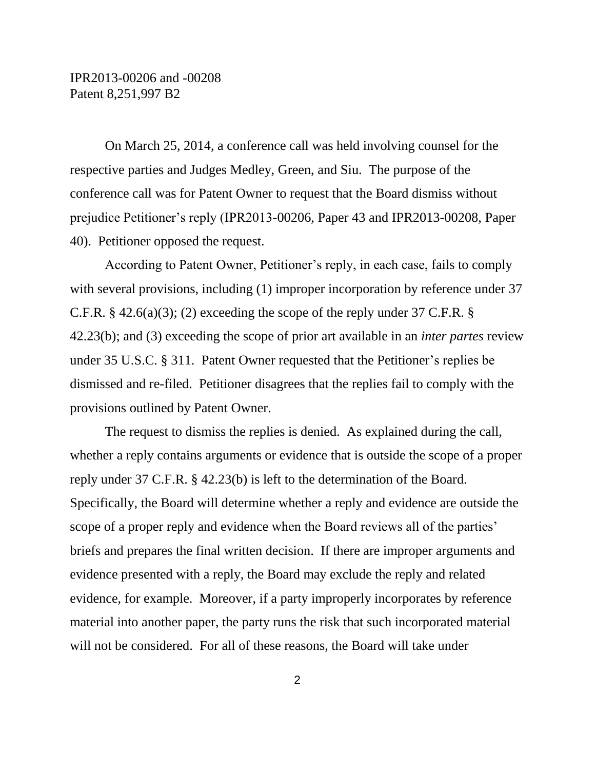On March 25, 2014, a conference call was held involving counsel for the respective parties and Judges Medley, Green, and Siu. The purpose of the conference call was for Patent Owner to request that the Board dismiss without prejudice Petitioner's reply (IPR2013-00206, Paper 43 and IPR2013-00208, Paper 40). Petitioner opposed the request.

According to Patent Owner, Petitioner's reply, in each case, fails to comply with several provisions, including (1) improper incorporation by reference under 37 C.F.R. § 42.6(a)(3); (2) exceeding the scope of the reply under 37 C.F.R. § 42.23(b); and (3) exceeding the scope of prior art available in an *inter partes* review under 35 U.S.C. § 311. Patent Owner requested that the Petitioner's replies be dismissed and re-filed. Petitioner disagrees that the replies fail to comply with the provisions outlined by Patent Owner.

The request to dismiss the replies is denied. As explained during the call, whether a reply contains arguments or evidence that is outside the scope of a proper reply under 37 C.F.R. § 42.23(b) is left to the determination of the Board. Specifically, the Board will determine whether a reply and evidence are outside the scope of a proper reply and evidence when the Board reviews all of the parties' briefs and prepares the final written decision. If there are improper arguments and evidence presented with a reply, the Board may exclude the reply and related evidence, for example. Moreover, if a party improperly incorporates by reference material into another paper, the party runs the risk that such incorporated material will not be considered. For all of these reasons, the Board will take under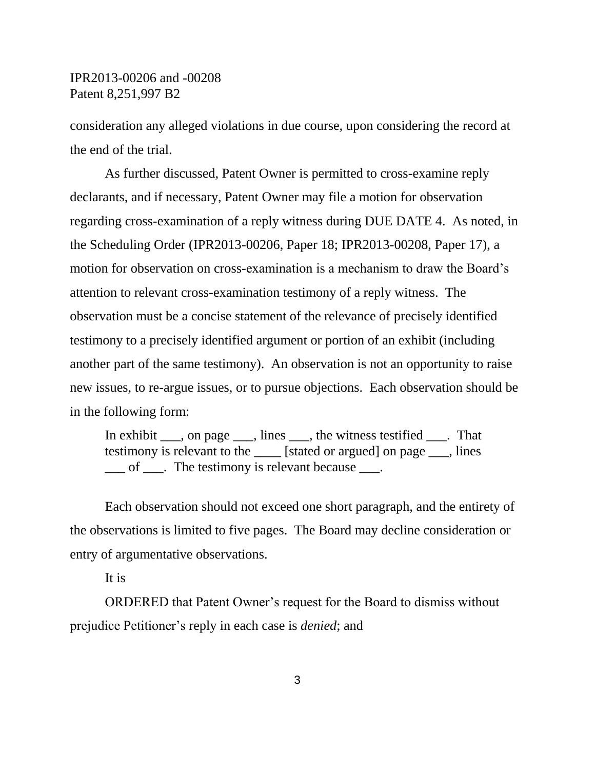consideration any alleged violations in due course, upon considering the record at the end of the trial.

As further discussed, Patent Owner is permitted to cross-examine reply declarants, and if necessary, Patent Owner may file a motion for observation regarding cross-examination of a reply witness during DUE DATE 4. As noted, in the Scheduling Order (IPR2013-00206, Paper 18; IPR2013-00208, Paper 17), a motion for observation on cross-examination is a mechanism to draw the Board's attention to relevant cross-examination testimony of a reply witness. The observation must be a concise statement of the relevance of precisely identified testimony to a precisely identified argument or portion of an exhibit (including another part of the same testimony). An observation is not an opportunity to raise new issues, to re-argue issues, or to pursue objections. Each observation should be in the following form:

In exhibit \_\_\_, on page \_\_\_, lines \_\_\_, the witness testified \_\_\_. That testimony is relevant to the \_\_\_\_ [stated or argued] on page \_\_\_, lines \_\_\_ of \_\_\_. The testimony is relevant because \_\_\_.

Each observation should not exceed one short paragraph, and the entirety of the observations is limited to five pages. The Board may decline consideration or entry of argumentative observations.

It is

ORDERED that Patent Owner's request for the Board to dismiss without prejudice Petitioner's reply in each case is *denied*; and